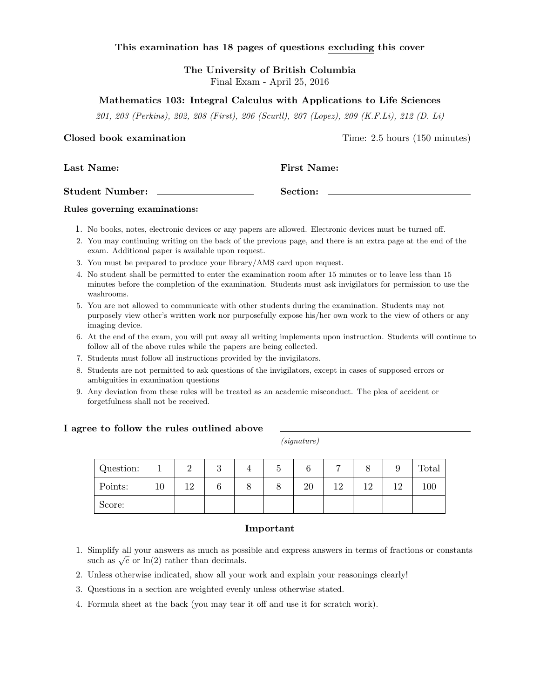#### This examination has 18 pages of questions excluding this cover

The University of British Columbia Final Exam - April 25, 2016

#### Mathematics 103: Integral Calculus with Applications to Life Sciences

201, 203 (Perkins), 202, 208 (First), 206 (Scurll), 207 (Lopez), 209 (K.F.Li), 212 (D. Li)

Closed book examination Time: 2.5 hours (150 minutes)

| Last Name:             | <b>First Name:</b> |
|------------------------|--------------------|
| <b>Student Number:</b> | Section:           |

#### Rules governing examinations:

- 1. No books, notes, electronic devices or any papers are allowed. Electronic devices must be turned off.
- 2. You may continuing writing on the back of the previous page, and there is an extra page at the end of the exam. Additional paper is available upon request.
- 3. You must be prepared to produce your library/AMS card upon request.
- 4. No student shall be permitted to enter the examination room after 15 minutes or to leave less than 15 minutes before the completion of the examination. Students must ask invigilators for permission to use the washrooms.
- 5. You are not allowed to communicate with other students during the examination. Students may not purposely view other's written work nor purposefully expose his/her own work to the view of others or any imaging device.
- 6. At the end of the exam, you will put away all writing implements upon instruction. Students will continue to follow all of the above rules while the papers are being collected.
- 7. Students must follow all instructions provided by the invigilators.
- 8. Students are not permitted to ask questions of the invigilators, except in cases of supposed errors or ambiguities in examination questions
- 9. Any deviation from these rules will be treated as an academic misconduct. The plea of accident or forgetfulness shall not be received.

#### I agree to follow the rules outlined above

(signature)

| Question: |    | റ  | $\Omega$ | υ |    | −  |    |    | Total |
|-----------|----|----|----------|---|----|----|----|----|-------|
| Points:   | ΙU | 19 |          | О | 20 | 19 | 12 | 12 | 100   |
| Score:    |    |    |          |   |    |    |    |    |       |

#### Important

- 1. Simplify all your answers as much as possible and express answers in terms of fractions or constants sumpiny an your answers as much as poss<br>such as  $\sqrt{e}$  or  $\ln(2)$  rather than decimals.
- 2. Unless otherwise indicated, show all your work and explain your reasonings clearly!
- 3. Questions in a section are weighted evenly unless otherwise stated.
- 4. Formula sheet at the back (you may tear it off and use it for scratch work).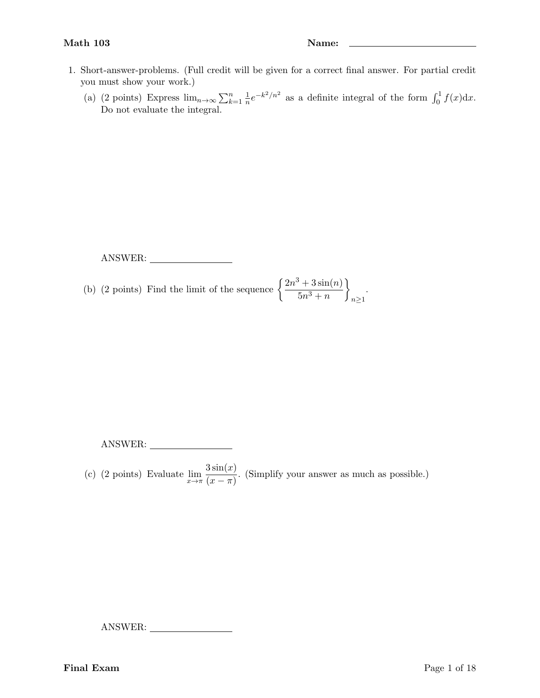- 1. Short-answer-problems. (Full credit will be given for a correct final answer. For partial credit you must show your work.)
	- (a) (2 points) Express  $\lim_{n\to\infty}\sum_{k=1}^n\frac{1}{n}$  $\frac{1}{n}e^{-k^2/n^2}$  as a definite integral of the form  $\int_0^1 f(x)dx$ . Do not evaluate the integral.

ANSWER:

(b) (2 points) Find the limit of the sequence  $\left\{\frac{2n^3+3\sin(n)}{n^2}\right\}$  $5n^3 + n$  $\mathcal{L}$  $n\geq 1$ .

ANSWER:

(c) (2 points) Evaluate  $\lim_{x \to \pi} \frac{3\sin(x)}{(x-\pi)}$  $\frac{\sinh(\omega)}{(\alpha - \pi)}$ . (Simplify your answer as much as possible.)

ANSWER:

Final Exam Page 1 of 18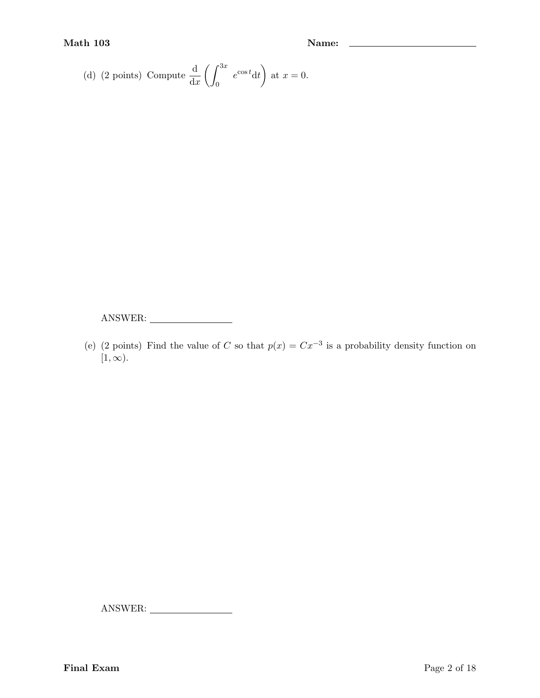(d) (2 points) Compute 
$$
\frac{d}{dx} \left( \int_0^{3x} e^{\cos t} dt \right)
$$
 at  $x = 0$ .

ANSWER:

(e) (2 points) Find the value of C so that  $p(x) = Cx^{-3}$  is a probability density function on  $[1, \infty)$ .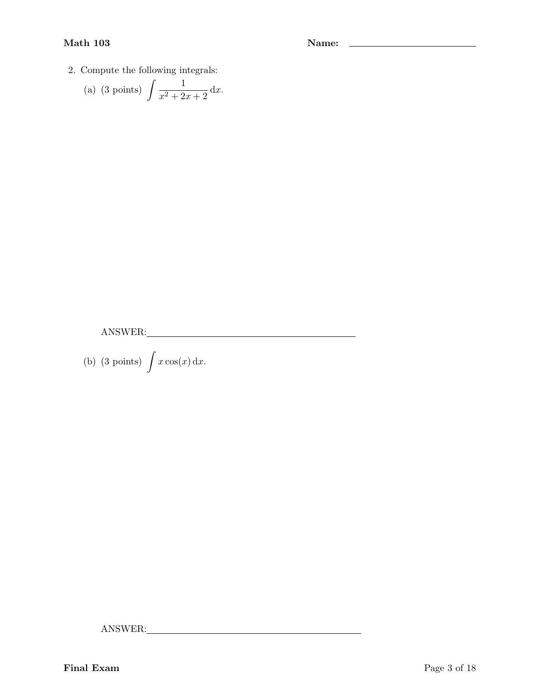# Math 103 Name: 2008 Name: 2008 Name: 2008 Name: 2008 Name: 2008 Name: 2008 Name: 2008 Name: 2008 Name: 2008 Name: 2008 Name: 2008 Name: 2008 Name: 2008 Name: 2008 Name: 2008 Name: 2008 Name: 2008 Name: 2008 Name: 2008 Name

2. Compute the following integrals:

(a) (3 points) 
$$
\int \frac{1}{x^2 + 2x + 2} dx
$$
.

ANSWER:

(b) (3 points)  $\int x \cos(x) dx$ .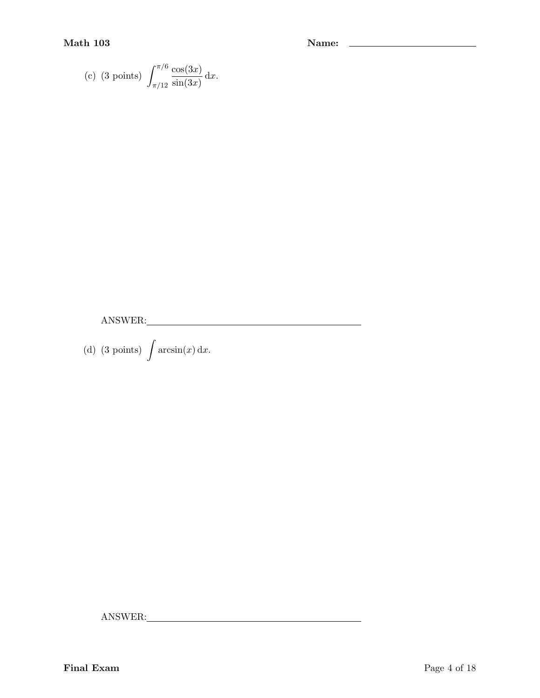(c) (3 points) 
$$
\int_{\pi/12}^{\pi/6} \frac{\cos(3x)}{\sin(3x)} dx
$$
.

ANSWER:

(d) (3 points)  $\int \arcsin(x) dx$ .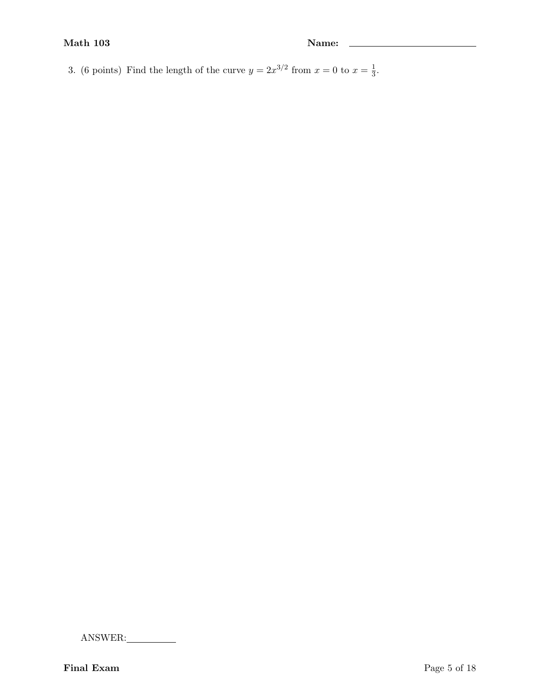3. (6 points) Find the length of the curve  $y = 2x^{3/2}$  from  $x = 0$  to  $x = \frac{1}{3}$  $\frac{1}{3}$ .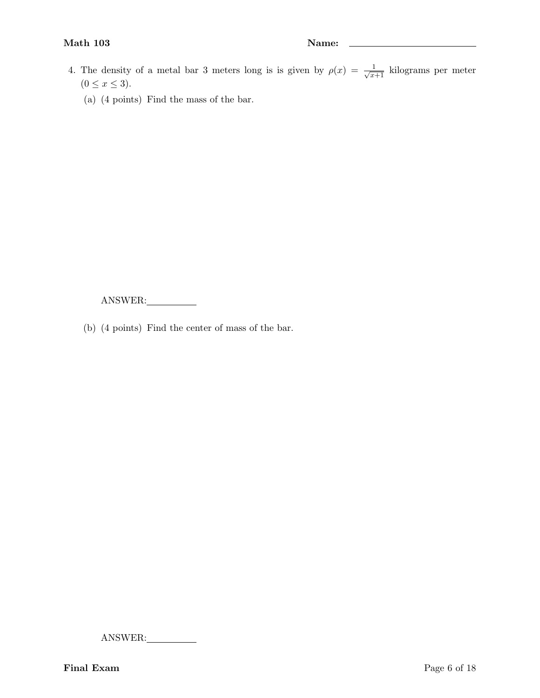# Math 103 Name: 2012 Name: 2014 Name: 2014 Name: 2014 Name: 2014 Name: 2014 Name: 2014 Name: 2014 Name: 2014 Name: 2014 Name: 2014 Name: 2014 Name: 2014 Name: 2014 Name: 2014 Name: 2014 Name: 2014 Name: 2014 Name: 2014 Name

- 4. The density of a metal bar 3 meters long is is given by  $\rho(x) = \frac{1}{\sqrt{x+1}}$  kilograms per meter  $(0 \leq x \leq 3).$ 
	- (a) (4 points) Find the mass of the bar.

ANSWER:

(b) (4 points) Find the center of mass of the bar.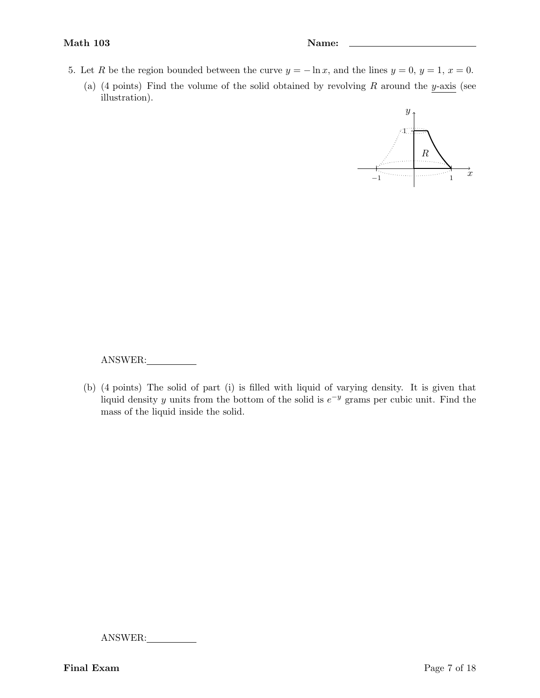- 5. Let R be the region bounded between the curve  $y = -\ln x$ , and the lines  $y = 0$ ,  $y = 1$ ,  $x = 0$ .
	- (a) (4 points) Find the volume of the solid obtained by revolving  $R$  around the y-axis (see illustration).



ANSWER:

(b) (4 points) The solid of part (i) is filled with liquid of varying density. It is given that liquid density y units from the bottom of the solid is  $e^{-y}$  grams per cubic unit. Find the mass of the liquid inside the solid.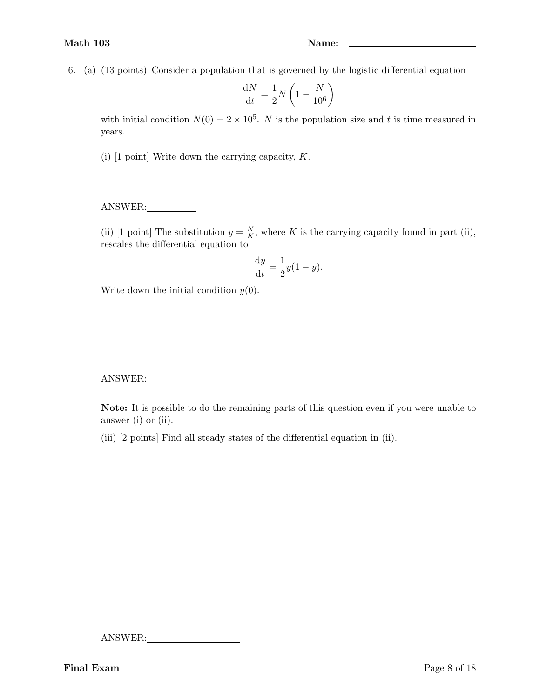6. (a) (13 points) Consider a population that is governed by the logistic differential equation

$$
\frac{\mathrm{d}N}{\mathrm{d}t} = \frac{1}{2}N\left(1 - \frac{N}{10^6}\right)
$$

with initial condition  $N(0) = 2 \times 10^5$ . N is the population size and t is time measured in years.

(i) [1 point] Write down the carrying capacity, K.

# ANSWER:

(ii) [1 point] The substitution  $y = \frac{N}{K}$  $\frac{N}{K}$ , where K is the carrying capacity found in part (ii), rescales the differential equation to

$$
\frac{\mathrm{d}y}{\mathrm{d}t} = \frac{1}{2}y(1-y).
$$

Write down the initial condition  $y(0)$ .

ANSWER:

Note: It is possible to do the remaining parts of this question even if you were unable to answer (i) or (ii).

(iii) [2 points] Find all steady states of the differential equation in (ii).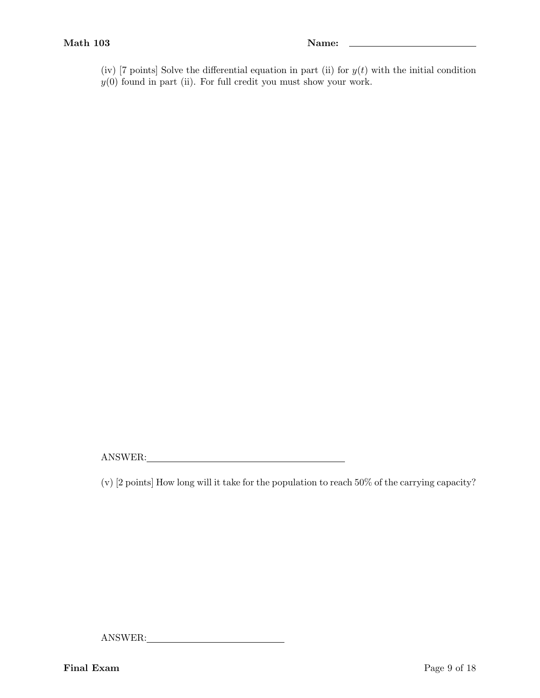- (iv) [7 points] Solve the differential equation in part (ii) for  $y(t)$  with the initial condition
- $y(0)$  found in part (ii). For full credit you must show your work.

ANSWER:

(v) [2 points] How long will it take for the population to reach 50% of the carrying capacity?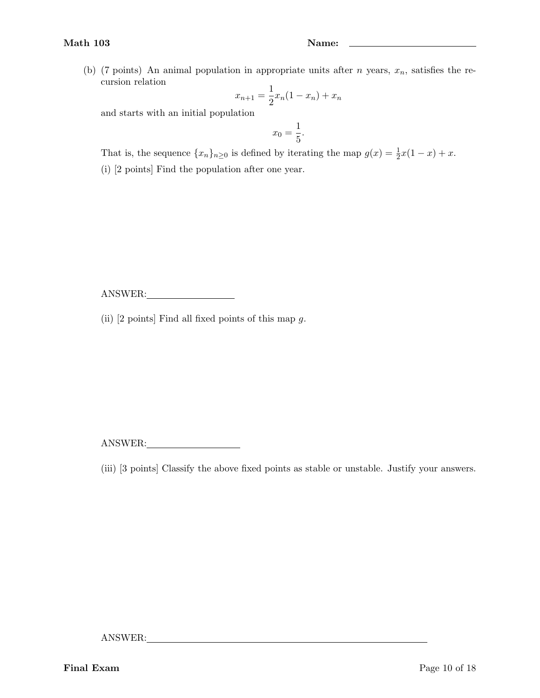(b) (7 points) An animal population in appropriate units after *n* years,  $x_n$ , satisfies the recursion relation

$$
x_{n+1} = \frac{1}{2}x_n(1 - x_n) + x_n
$$

and starts with an initial population

$$
x_0 = \frac{1}{5}.
$$

That is, the sequence  $\{x_n\}_{n\geq 0}$  is defined by iterating the map  $g(x) = \frac{1}{2}x(1-x) + x$ .

(i) [2 points] Find the population after one year.

ANSWER:

(ii)  $[2 \text{ points}]$  Find all fixed points of this map g.

ANSWER:

(iii) [3 points] Classify the above fixed points as stable or unstable. Justify your answers.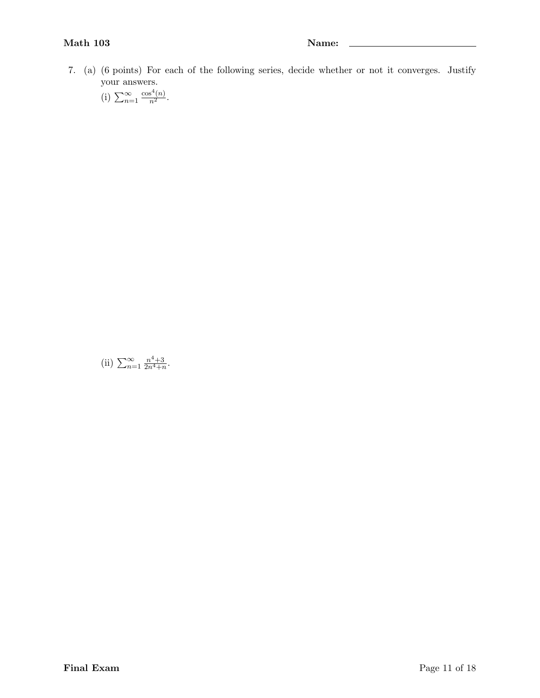7. (a) (6 points) For each of the following series, decide whether or not it converges. Justify your answers.

(i) 
$$
\sum_{n=1}^{\infty} \frac{\cos^4(n)}{n^2}.
$$

(ii)  $\sum_{n=1}^{\infty} \frac{n^4+3}{2n^4+r}$  $\frac{n^2+3}{2n^4+n}$ .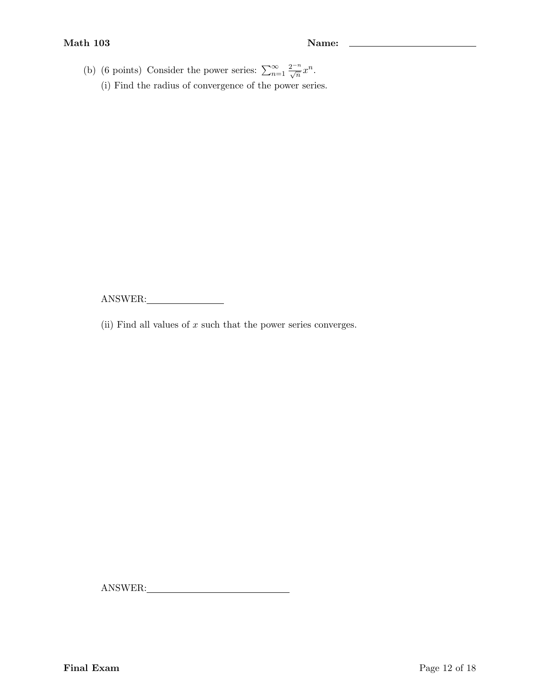(b) (6 points) Consider the power series:  $\sum_{n=1}^{\infty} \frac{2^{-n}}{\sqrt{n}} x^n$ . (i) Find the radius of convergence of the power series.

ANSWER:

(ii) Find all values of  $x$  such that the power series converges.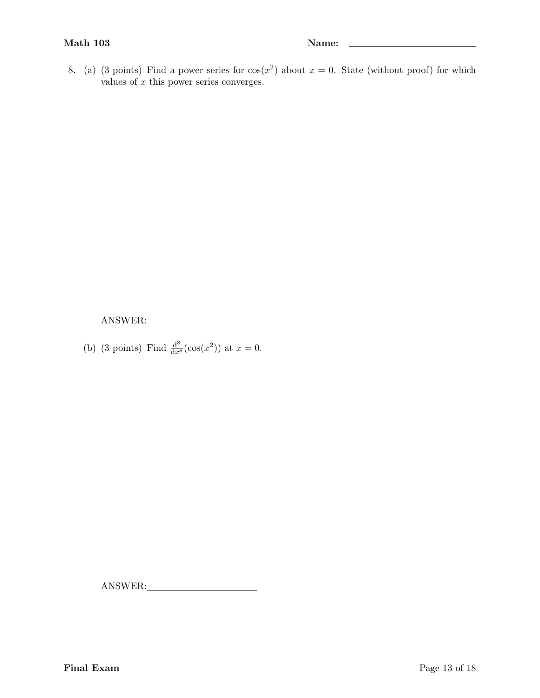8. (a) (3 points) Find a power series for  $cos(x^2)$  about  $x = 0$ . State (without proof) for which values of  $x$  this power series converges.

ANSWER:

(b) (3 points) Find  $\frac{d^8}{dx^8}(\cos(x^2))$  at  $x = 0$ .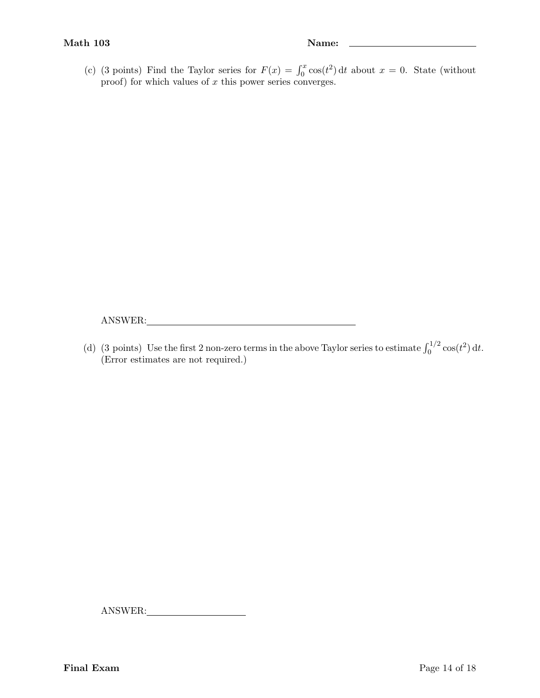$\overline{\phantom{a}}$ 

(c) (3 points) Find the Taylor series for  $F(x) = \int_0^x \cos(t^2) dt$  about  $x = 0$ . State (without proof) for which values of  $x$  this power series converges.

ANSWER:

(d) (3 points) Use the first 2 non-zero terms in the above Taylor series to estimate  $\int_0^{1/2} \cos(t^2) dt$ . (Error estimates are not required.)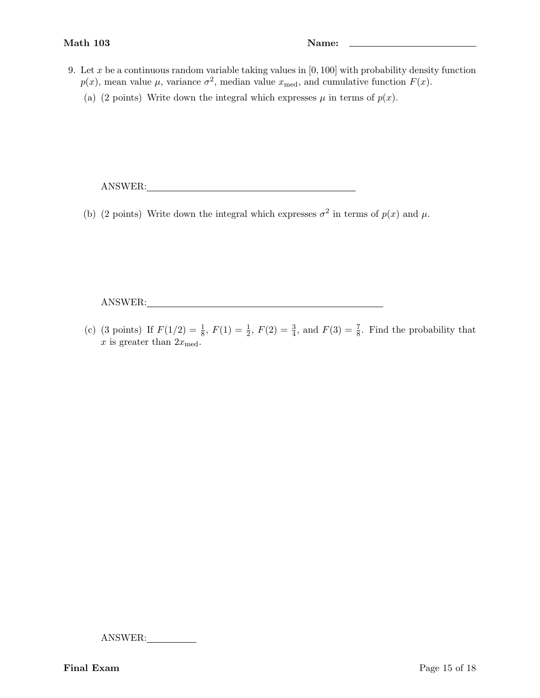- 9. Let x be a continuous random variable taking values in  $[0, 100]$  with probability density function  $p(x)$ , mean value  $\mu$ , variance  $\sigma^2$ , median value  $x_{\text{med}}$ , and cumulative function  $F(x)$ .
	- (a) (2 points) Write down the integral which expresses  $\mu$  in terms of  $p(x)$ .

ANSWER:

(b) (2 points) Write down the integral which expresses  $\sigma^2$  in terms of  $p(x)$  and  $\mu$ .

ANSWER:

(c) (3 points) If  $F(1/2) = \frac{1}{8}$ ,  $F(1) = \frac{1}{2}$ ,  $F(2) = \frac{3}{4}$ , and  $F(3) = \frac{7}{8}$ . Find the probability that x is greater than  $2x_{\text{med}}$ .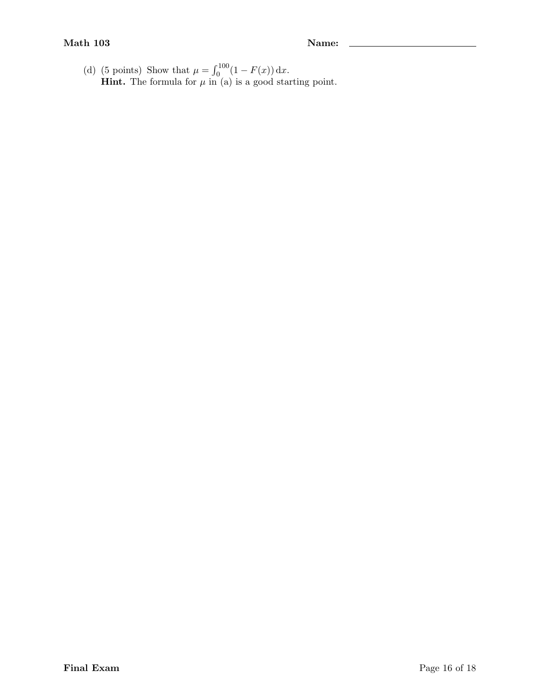$\overline{a}$ 

(d) (5 points) Show that  $\mu = \int_0^{100} (1 - F(x)) dx$ . **Hint.** The formula for  $\mu$  in (a) is a good starting point.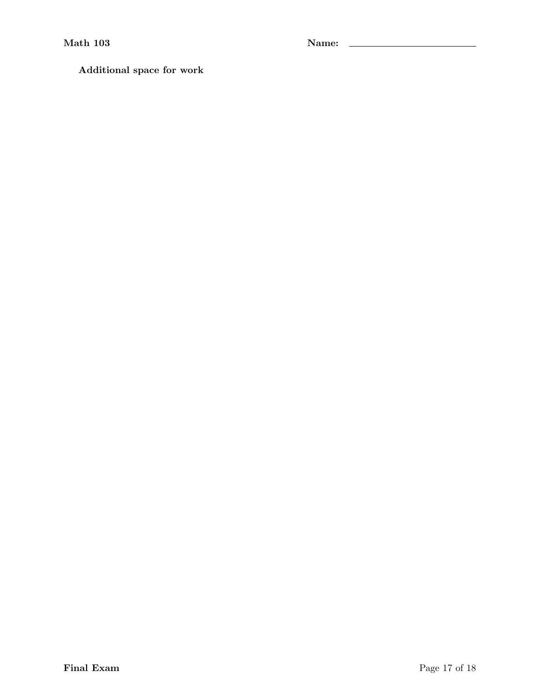Additional space for work